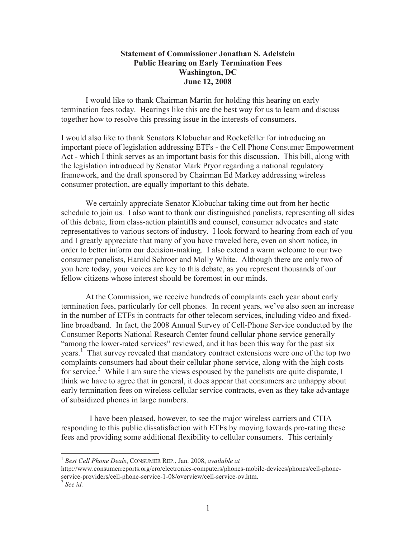## **Statement of Commissioner Jonathan S. Adelstein Public Hearing on Early Termination Fees Washington, DC June 12, 2008**

I would like to thank Chairman Martin for holding this hearing on early termination fees today. Hearings like this are the best way for us to learn and discuss together how to resolve this pressing issue in the interests of consumers.

I would also like to thank Senators Klobuchar and Rockefeller for introducing an important piece of legislation addressing ETFs - the Cell Phone Consumer Empowerment Act - which I think serves as an important basis for this discussion. This bill, along with the legislation introduced by Senator Mark Pryor regarding a national regulatory framework, and the draft sponsored by Chairman Ed Markey addressing wireless consumer protection, are equally important to this debate.

We certainly appreciate Senator Klobuchar taking time out from her hectic schedule to join us. I also want to thank our distinguished panelists, representing all sides of this debate, from class-action plaintiffs and counsel, consumer advocates and state representatives to various sectors of industry. I look forward to hearing from each of you and I greatly appreciate that many of you have traveled here, even on short notice, in order to better inform our decision-making. I also extend a warm welcome to our two consumer panelists, Harold Schroer and Molly White. Although there are only two of you here today, your voices are key to this debate, as you represent thousands of our fellow citizens whose interest should be foremost in our minds.

At the Commission, we receive hundreds of complaints each year about early termination fees, particularly for cell phones. In recent years, we've also seen an increase in the number of ETFs in contracts for other telecom services, including video and fixedline broadband. In fact, the 2008 Annual Survey of Cell-Phone Service conducted by the Consumer Reports National Research Center found cellular phone service generally "among the lower-rated services" reviewed, and it has been this way for the past six years.<sup>1</sup> That survey revealed that mandatory contract extensions were one of the top two complaints consumers had about their cellular phone service, along with the high costs for service.<sup>2</sup> While I am sure the views espoused by the panelists are quite disparate, I think we have to agree that in general, it does appear that consumers are unhappy about early termination fees on wireless cellular service contracts, even as they take advantage of subsidized phones in large numbers.

I have been pleased, however, to see the major wireless carriers and CTIA responding to this public dissatisfaction with ETFs by moving towards pro-rating these fees and providing some additional flexibility to cellular consumers. This certainly

http://www.consumerreports.org/cro/electronics-computers/phones-mobile-devices/phones/cell-phoneservice-providers/cell-phone-service-1-08/overview/cell-service-ov.htm.

<sup>1</sup> *Best Cell Phone Deals*, CONSUMER REP., Jan. 2008, *available at*

<sup>2</sup> *See id.*